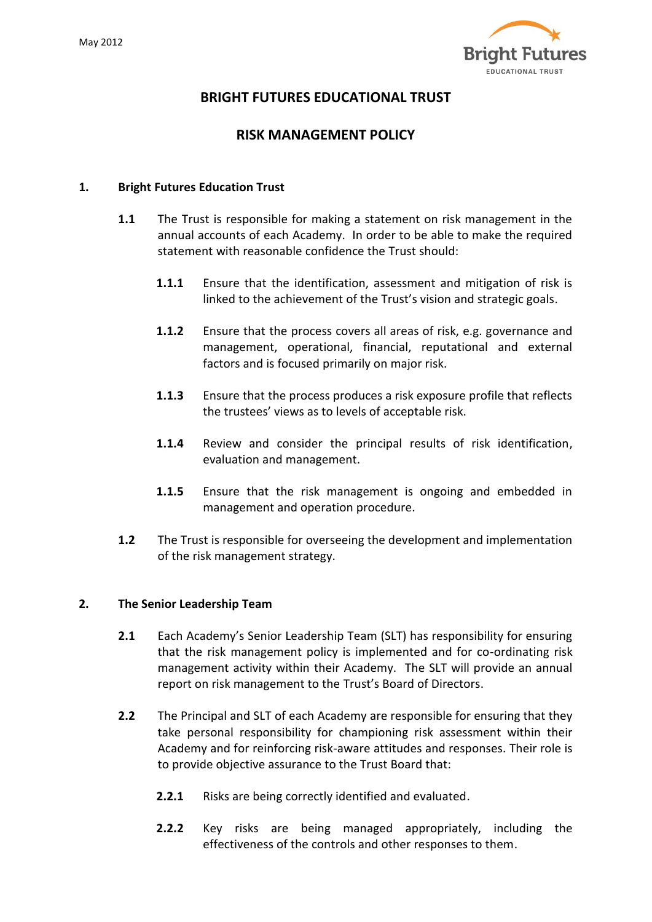

# **BRIGHT FUTURES EDUCATIONAL TRUST**

## **RISK MANAGEMENT POLICY**

#### **1. Bright Futures Education Trust**

- **1.1** The Trust is responsible for making a statement on risk management in the annual accounts of each Academy. In order to be able to make the required statement with reasonable confidence the Trust should:
	- **1.1.1** Ensure that the identification, assessment and mitigation of risk is linked to the achievement of the Trust's vision and strategic goals.
	- **1.1.2** Ensure that the process covers all areas of risk, e.g. governance and management, operational, financial, reputational and external factors and is focused primarily on major risk.
	- **1.1.3** Ensure that the process produces a risk exposure profile that reflects the trustees' views as to levels of acceptable risk.
	- **1.1.4** Review and consider the principal results of risk identification, evaluation and management.
	- **1.1.5** Ensure that the risk management is ongoing and embedded in management and operation procedure.
- **1.2** The Trust is responsible for overseeing the development and implementation of the risk management strategy.

### **2. The Senior Leadership Team**

- **2.1** Each Academy's Senior Leadership Team (SLT) has responsibility for ensuring that the risk management policy is implemented and for co-ordinating risk management activity within their Academy. The SLT will provide an annual report on risk management to the Trust's Board of Directors.
- **2.2** The Principal and SLT of each Academy are responsible for ensuring that they take personal responsibility for championing risk assessment within their Academy and for reinforcing risk-aware attitudes and responses. Their role is to provide objective assurance to the Trust Board that:
	- **2.2.1** Risks are being correctly identified and evaluated.
	- **2.2.2** Key risks are being managed appropriately, including the effectiveness of the controls and other responses to them.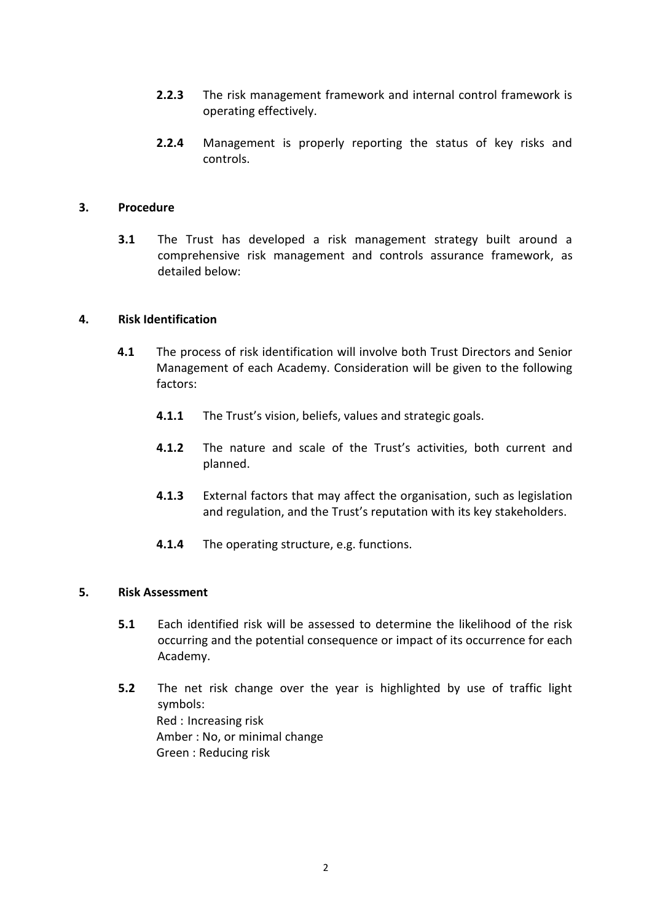- **2.2.3** The risk management framework and internal control framework is operating effectively.
- **2.2.4** Management is properly reporting the status of key risks and controls.

#### **3. Procedure**

**3.1** The Trust has developed a risk management strategy built around a comprehensive risk management and controls assurance framework, as detailed below:

#### **4. Risk Identification**

- **4.1** The process of risk identification will involve both Trust Directors and Senior Management of each Academy. Consideration will be given to the following factors:
	- **4.1.1** The Trust's vision, beliefs, values and strategic goals.
	- **4.1.2** The nature and scale of the Trust's activities, both current and planned.
	- **4.1.3** External factors that may affect the organisation, such as legislation and regulation, and the Trust's reputation with its key stakeholders.
	- **4.1.4** The operating structure, e.g. functions.

#### **5. Risk Assessment**

- **5.1** Each identified risk will be assessed to determine the likelihood of the risk occurring and the potential consequence or impact of its occurrence for each Academy.
- **5.2** The net risk change over the year is highlighted by use of traffic light symbols: Red : Increasing risk Amber : No, or minimal change Green : Reducing risk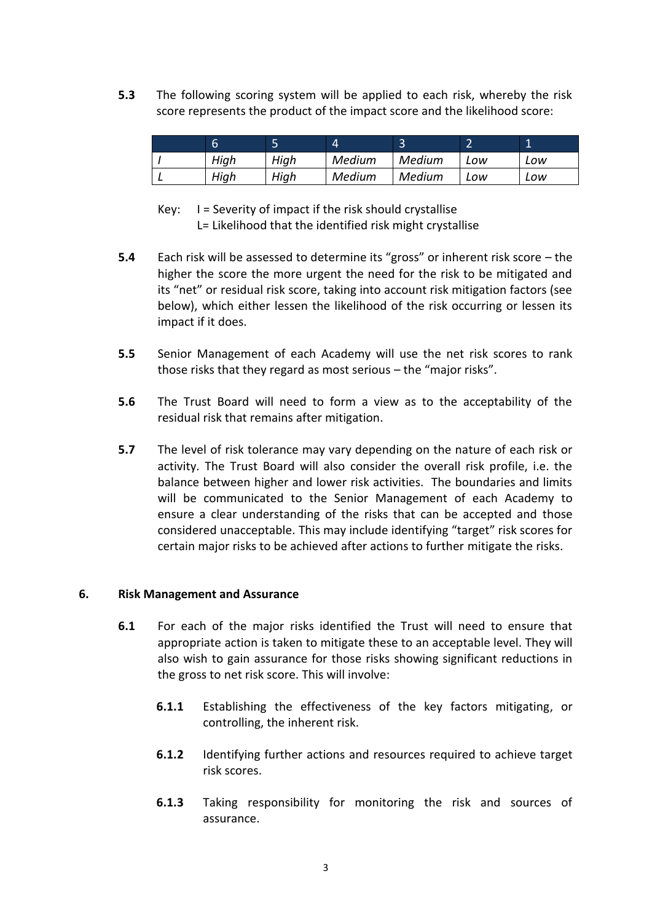**5.3** The following scoring system will be applied to each risk, whereby the risk score represents the product of the impact score and the likelihood score:

| b    | =<br>∽<br>◡ | 4      | ∽<br>◡ |     |     |
|------|-------------|--------|--------|-----|-----|
| Hiah | High        | Medium | Medium | -ow | Low |
| High | High        | Medium | Medium | -ow | Low |

- Key: I = Severity of impact if the risk should crystallise L= Likelihood that the identified risk might crystallise
- **5.4** Each risk will be assessed to determine its "gross" or inherent risk score the higher the score the more urgent the need for the risk to be mitigated and its "net" or residual risk score, taking into account risk mitigation factors (see below), which either lessen the likelihood of the risk occurring or lessen its impact if it does.
- **5.5** Senior Management of each Academy will use the net risk scores to rank those risks that they regard as most serious – the "major risks".
- **5.6** The Trust Board will need to form a view as to the acceptability of the residual risk that remains after mitigation.
- **5.7** The level of risk tolerance may vary depending on the nature of each risk or activity. The Trust Board will also consider the overall risk profile, i.e. the balance between higher and lower risk activities. The boundaries and limits will be communicated to the Senior Management of each Academy to ensure a clear understanding of the risks that can be accepted and those considered unacceptable. This may include identifying "target" risk scores for certain major risks to be achieved after actions to further mitigate the risks.

### **6. Risk Management and Assurance**

- **6.1** For each of the major risks identified the Trust will need to ensure that appropriate action is taken to mitigate these to an acceptable level. They will also wish to gain assurance for those risks showing significant reductions in the gross to net risk score. This will involve:
	- **6.1.1** Establishing the effectiveness of the key factors mitigating, or controlling, the inherent risk.
	- **6.1.2** Identifying further actions and resources required to achieve target risk scores.
	- **6.1.3** Taking responsibility for monitoring the risk and sources of assurance.